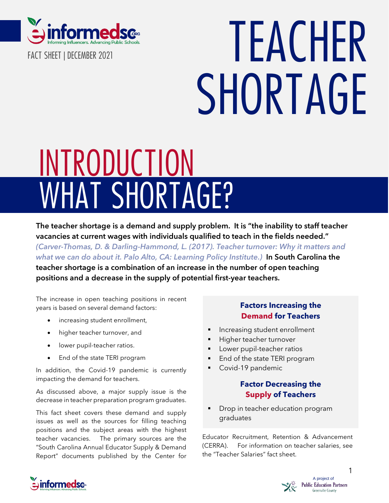

**FACT SHEET | DECEMBER 2021**

# **TEACHER SHORTAGE**

# **WHAT SHORTAGE? INTRODUCTION**

**The teacher shortage is a demand and supply problem. It is "the inability to staff teacher vacancies at current wages with individuals qualified to teach in the fields needed."** *(Carver-Thomas, D. & [Darling-Hammond,](https://learningpolicyinstitute.org/product/teacher-turnover-report) L. (2017). Teacher turnover: Why it matters and what we can do about it. Palo Alto, CA: [Learning](https://learningpolicyinstitute.org/product/teacher-turnover-report) Policy Institute.)* **In South Carolina the teacher shortage is a combination of an increase in the number of open teaching positions and a decrease in the supply of potential first-year teachers.**

The increase in open teaching positions in recent years is based on several demand factors:

- increasing student enrollment,
- higher teacher turnover, and
- lower pupil-teacher ratios.
- End of the state TERI program

In addition, the Covid-19 pandemic is currently impacting the demand for teachers.

As discussed above, a major supply issue is the decrease in teacher preparation program graduates.

This fact sheet covers these demand and supply issues as well as the sources for filling teaching positions and the subject areas with the highest teacher vacancies. The primary sources are the "South Carolina Annual Educator Supply & Demand Report" documents published by the Center for

### **Factors Increasing the Demand for Teachers**

- Increasing student enrollment
- Higher teacher turnover
- Lower pupil-teacher ratios
- End of the state TERI program
- Covid-19 pandemic

#### **Factor Decreasing the Supply of Teachers**

Drop in teacher education program graduates

Educator Recruitment, Retention & Advancement (CERRA). For information on teacher salaries, see the "Teacher Salaries" fact sheet<mark>.</mark>



1

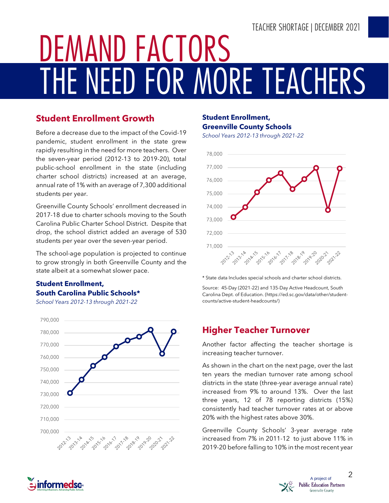# **TEACHER SHORTAGE | DECEMBER 2021**

# **THE NEED FOR MORE TEACHERS DEMAND FACTORS**

### **Student Enrollment Growth**

Before a decrease due to the impact of the Covid-19 pandemic, student enrollment in the state grew rapidly resulting in the need for more teachers. Over the seven-year period (2012-13 to 2019-20), total public-school enrollment in the state (including charter school districts) increased at an average, annual rate of 1% with an average of 7,300 additional students per year.

Greenville County Schools' enrollment decreased in 2017-18 due to charter schools moving to the South Carolina Public Charter School District. Despite that drop, the school district added an average of 530 students per year over the seven-year period.

The school-age population is projected to continue to grow strongly in both Greenville County and the state albeit at a somewhat slower pace.

#### **Student Enrollment, South Carolina Public Schools\***

*School Years 2012-13 through 2021-22*



#### **Student Enrollment, Greenville County Schools**

*School Years 2012-13 through 2021-22*



\* State data Includes special schools and charter school districts.

Source: 45-Day (2021-22) and 135-Day Active Headcount, South Carolina Dept. of Education. [\(https://ed.sc.gov/data/other/student](https://ed.sc.gov/data/other/student-counts/active-student-headcounts/)[counts/active-student-headcounts/\)](https://ed.sc.gov/data/other/student-counts/active-student-headcounts/)

# **Higher Teacher Turnover**

Another factor affecting the teacher shortage is increasing teacher turnover.

As shown in the chart on the next page, over the last ten years the median turnover rate among school districts in the state (three-year average annual rate) increased from 9% to around 13%. Over the last three years, 12 of 78 reporting districts (15%) consistently had teacher turnover rates at or above 20% with the highest rates above 30%.

Greenville County Schools' 3-year average rate increased from 7% in 2011-12 to just above 11% in 2019-20 before falling to 10% in the most recent year



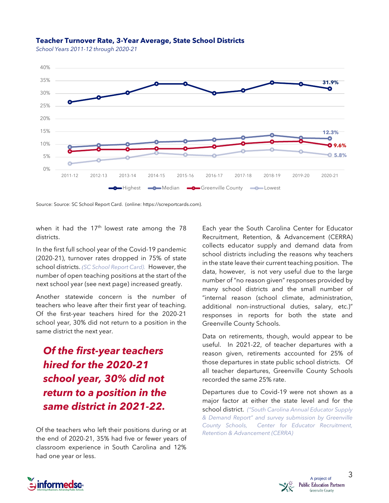#### **Teacher Turnover Rate, 3-Year Average, State School Districts**

*School Years 2011-12 through 2020-21*



Source: Source: SC School Report Card. (online: https://screportcards.com).

when it had the 17<sup>th</sup> lowest rate among the 78 districts.

In the first full school year of the Covid-19 pandemic (2020-21), turnover rates dropped in 75% of state school districts. *(SC School Report Card).* However, the number of open teaching positions at the start of the next school year (see next page) increased greatly.

Another statewide concern is the number of teachers who leave after their first year of teaching. Of the first-year teachers hired for the 2020-21 school year, 30% did not return to a position in the same district the next year.

*Of the first-year teachers hired for the 2020-21 school year, 30% did not return to a position in the same district in 2021-22.*

Of the teachers who left their positions during or at the end of 2020-21, 35% had five or fewer years of classroom experience in South Carolina and 12% had one year or less.

Each year the South Carolina Center for Educator Recruitment, Retention, & Advancement (CERRA) collects educator supply and demand data from school districts including the reasons why teachers in the state leave their current teaching position. The data, however, is not very useful due to the large number of "no reason given" responses provided by many school districts and the small number of "internal reason (school climate, administration, additional non-instructional duties, salary, etc.)" responses in reports for both the state and Greenville County Schools.

Data on retirements, though, would appear to be useful. In 2021-22, of teacher departures with a reason given, retirements accounted for 25% of those departures in state public school districts. Of all teacher departures, Greenville County Schools recorded the same 25% rate.

Departures due to Covid-19 were not shown as a major factor at either the state level and for the school district. *("South Carolina Annual [Educator](https://www.cerra.org/supply-and-demand.html?ct=t(1_23_2017_e_Focus1_23_2017)) Supply & Demand Report" and survey [submission](https://www.cerra.org/supply-and-demand.html?ct=t(1_23_2017_e_Focus1_23_2017)) by Greenville County Schools, Center for Educator [Recruitment,](https://www.cerra.org/supply-and-demand.html?ct=t(1_23_2017_e_Focus1_23_2017)) Retention & [Advancement](https://www.cerra.org/supply-and-demand.html?ct=t(1_23_2017_e_Focus1_23_2017)) (CERRA)*



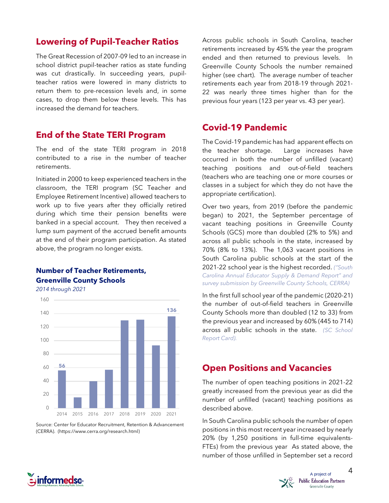#### **Lowering of Pupil-Teacher Ratios**

The Great Recession of 2007-09 led to an increase in school district pupil-teacher ratios as state funding was cut drastically. In succeeding years, pupilteacher ratios were lowered in many districts to return them to pre-recession levels and, in some cases, to drop them below these levels. This has increased the demand for teachers.

#### **End of the State TERI Program**

The end of the state TERI program in 2018 contributed to a rise in the number of teacher retirements.

Initiated in 2000 to keep experienced teachers in the classroom, the TERI program (SC Teacher and Employee Retirement Incentive) allowed teachers to work up to five years after they officially retired during which time their pension benefits were banked in a special account. They then received a lump sum payment of the accrued benefit amounts at the end of their program participation. As stated above, the program no longer exists.

#### **Number of Teacher Retirements, Greenville County Schools**

*2014 through 2021*



Source: Center for Educator Recruitment, Retention & Advancement (CERRA). (https://www.cerra.org/research.html)

Across public schools in South Carolina, teacher retirements increased by 45% the year the program ended and then returned to previous levels. In Greenville County Schools the number remained higher (see chart). The average number of teacher retirements each year from 2018-19 through 2021- 22 was nearly three times higher than for the previous four years (123 per year vs. 43 per year).

### **Covid-19 Pandemic**

The Covid-19 pandemic has had apparent effects on the teacher shortage. Large increases have occurred in both the number of unfilled (vacant) teaching positions and out-of-field teachers (teachers who are teaching one or more courses or classes in a subject for which they do not have the appropriate certification).

Over two years, from 2019 (before the pandemic began) to 2021, the September percentage of vacant teaching positions in Greenville County Schools (GCS) more than doubled (2% to 5%) and across all public schools in the state, increased by 70% (8% to 13%). The 1,063 vacant positions in South Carolina public schools at the start of the 2021-22 school year is the highest recorded. *[\("South](https://www.cerra.org/supply-and-demand.html?ct=t(1_23_2017_e_Focus1_23_2017)) Carolina Annual [Educator](https://www.cerra.org/supply-and-demand.html?ct=t(1_23_2017_e_Focus1_23_2017)) Supply & Demand Report" and survey [submission](https://www.cerra.org/supply-and-demand.html?ct=t(1_23_2017_e_Focus1_23_2017)) by Greenville County Schools, CERRA)*

In the first full school year of the pandemic (2020-21) the number of out-of-field teachers in Greenville County Schools more than doubled (12 to 33) from the previous year and increased by 60% (445 to 714) across all public schools in the state. *(SC School Report Card).*

## **Open Positions and Vacancies**

The number of open teaching positions in 2021-22 greatly increased from the previous year as did the number of unfilled (vacant) teaching positions as described above.

In South Carolina public schools the number of open positions in this most recent year increased by nearly 20% (by 1,250 positions in full-time equivalents-FTEs) from the previous year As stated above, the number of those unfilled in September set a record



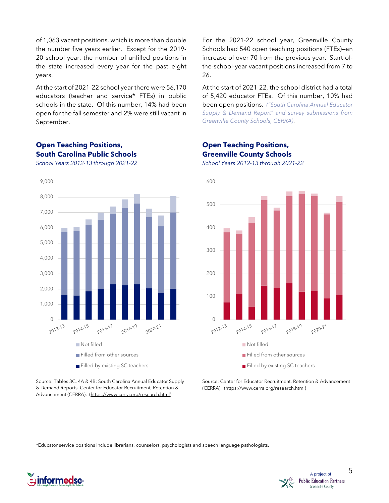of 1,063 vacant positions, which is more than double the number five years earlier. Except for the 2019- 20 school year, the number of unfilled positions in the state increased every year for the past eight years.

At the start of 2021-22 school year there were 56,170 educators (teacher and service\* FTEs) in public schools in the state. Of this number, 14% had been open for the fall semester and 2% were still vacant in September.

#### **Open Teaching Positions, South Carolina Public Schools**

*School Years 2012-13 through 2021-22*



Source: Tables 3C, 4A & 4B; South Carolina Annual Educator Supply & Demand Reports, Center for Educator Recruitment, Retention & Advancement (CERRA). [\(https://www.cerra.org/research.html\)](https://www.cerra.org/research.html)

For the 2021-22 school year, Greenville County Schools had 540 open teaching positions (FTEs)—an increase of over 70 from the previous year. Start-ofthe-school-year vacant positions increased from 7 to 26.

At the start of 2021-22, the school district had a total of 5,420 educator FTEs. Of this number, 10% had been open positions. *("South Carolina Annual [Educator](https://www.cerra.org/supply-and-demand.html?ct=t(1_23_2017_e_Focus1_23_2017)) Supply & Demand Report" and survey [submissions](https://www.cerra.org/supply-and-demand.html?ct=t(1_23_2017_e_Focus1_23_2017)) from [Greenville](https://www.cerra.org/supply-and-demand.html?ct=t(1_23_2017_e_Focus1_23_2017)) County Schools, CERRA)*.

#### **Open Teaching Positions, Greenville County Schools**

*School Years 2012-13 through 2021-22*



Source: Center for Educator Recruitment, Retention & Advancement (CERRA). (https://www.cerra.org/research.html)

\*Educator service positions include librarians, counselors, psychologists and speech language pathologists.



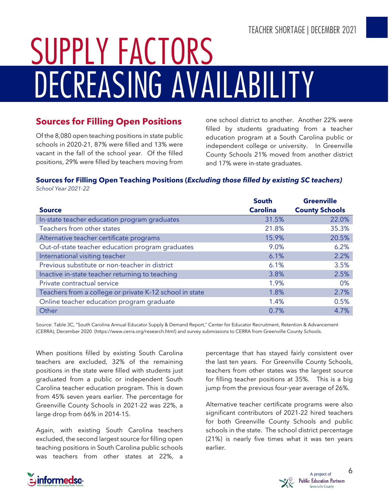# **DECREASING AVAILABILITY SUPPLY FACTORS**

### **Sources for Filling Open Positions**

Of the 8,080 open teaching positions in state public schools in 2020-21, 87% were filled and 13% were vacant in the fall of the school year. Of the filled positions, 29% were filled by teachers moving from one school district to another. Another 22% were filled by students graduating from a teacher education program at a South Carolina public or independent college or university. In Greenville County Schools 21% moved from another district and 17% were in-state graduates.

#### **Sources for Filling Open Teaching Positions (***Excluding those filled by existing SC teachers)*

*School Year 2021-22*

|                                                         | <b>South</b>    | <b>Greenville</b>     |
|---------------------------------------------------------|-----------------|-----------------------|
| <b>Source</b>                                           | <b>Carolina</b> | <b>County Schools</b> |
| In-state teacher education program graduates            | 31.5%           | 22.0%                 |
| Teachers from other states                              | 21.8%           | 35.3%                 |
| Alternative teacher certificate programs                | 15.9%           | 20.5%                 |
| Out-of-state teacher education program graduates        | 9.0%            | 6.2%                  |
| International visiting teacher                          | 6.1%            | 2.2%                  |
| Previous substitute or non-teacher in district          | 6.1%            | 3.5%                  |
| Inactive in-state teacher returning to teaching         | 3.8%            | 2.5%                  |
| Private contractual service                             | 1.9%            | 0%                    |
| Teachers from a college or private K-12 school in state | 1.8%            | 2.7%                  |
| Online teacher education program graduate               | 1.4%            | 0.5%                  |
| Other                                                   | 0.7%            | 4.7%                  |

Source: Table 3C, "South Carolina Annual Educator Supply & Demand Report," Center for Educator Recruitment, Retention & Advancement (CERRA), December 2020 [\(https://www.cerra.org/research.html\)](https://www.cerra.org/research.html) and survey submissions to CERRA from Greenville County Schools.

When positions filled by existing South Carolina teachers are excluded, 32% of the remaining positions in the state were filled with students just graduated from a public or independent South Carolina teacher education program. This is down from 45% seven years earlier. The percentage for Greenville County Schools in 2021-22 was 22%, a large drop from 66% in 2014-15.

Again, with existing South Carolina teachers excluded, the second largest source for filling open teaching positions in South Carolina public schools was teachers from other states at 22%, a

percentage that has stayed fairly consistent over the last ten years. For Greenville County Schools, teachers from other states was the largest source for filling teacher positions at 35%. This is a big jump from the previous four-year average of 26%.

Alternative teacher certificate programs were also significant contributors of 2021-22 hired teachers for both Greenville County Schools and public schools in the state. The school district percentage (21%) is nearly five times what it was ten years earlier.



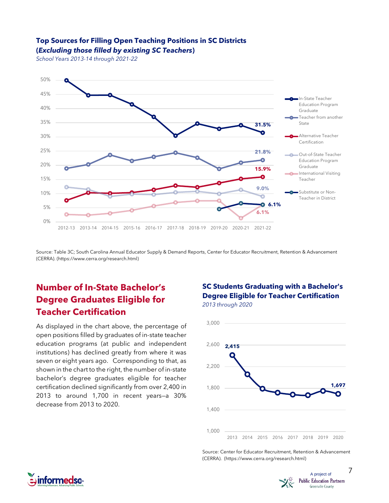#### **Top Sources for Filling Open Teaching Positions in SC Districts**





Source: Table 3C; South Carolina Annual Educator Supply & Demand Reports, Center for Educator Recruitment, Retention & Advancement (CERRA). [\(https://www.cerra.org/research.html\)](https://www.cerra.org/research.html)

# **Number of In-State Bachelor's Degree Graduates Eligible for Teacher Certification**

As displayed in the chart above, the percentage of open positions filled by graduates of in-state teacher education programs (at public and independent institutions) has declined greatly from where it was seven or eight years ago. Corresponding to that, as shown in the chart to the right, the number of in-state bachelor's degree graduates eligible for teacher certification declined significantly from over 2,400 in 2013 to around 1,700 in recent years—a 30% decrease from 2013 to 2020.

#### **SC Students Graduating with a Bachelor's Degree Eligible for Teacher Certification** *2013 through 2020*



Source: Center for Educator Recruitment, Retention & Advancement (CERRA). [\(https://www.cerra.org/research.html\)](https://www.cerra.org/research.html)



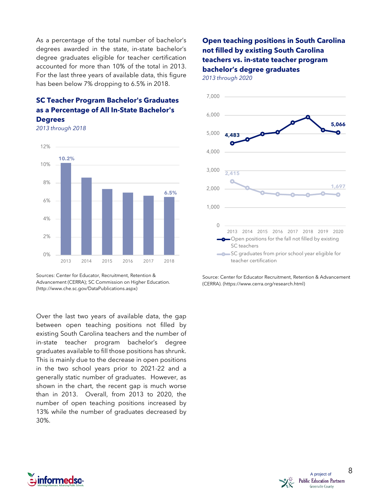As a percentage of the total number of bachelor's degrees awarded in the state, in-state bachelor's degree graduates eligible for teacher certification accounted for more than 10% of the total in 2013. For the last three years of available data, this figure has been below 7% dropping to 6.5% in 2018.

### **SC Teacher Program Bachelor's Graduates as a Percentage of All In-State Bachelor's**

**Degrees**

*2013 through 2018*



Sources: Center for Educator, Recruitment, Retention & Advancement (CERRA); SC Commission on Higher Education. (http://www.che.sc.gov/DataPublications.aspx)

Over the last two years of available data, the gap between open teaching positions not filled by existing South Carolina teachers and the number of in-state teacher program bachelor's degree graduates available to fill those positions has shrunk. This is mainly due to the decrease in open positions in the two school years prior to 2021-22 and a generally static number of graduates. However, as shown in the chart, the recent gap is much worse than in 2013. Overall, from 2013 to 2020, the number of open teaching positions increased by 13% while the number of graduates decreased by 30%.

#### **Open teaching positions in South Carolina not filled by existing South Carolina teachers vs. in-state teacher program bachelor's degree graduates**

*2013 through 2020*



Source: Center for Educator Recruitment, Retention & Advancement (CERRA). [\(https://www.cerra.org/research.html\)](https://www.cerra.org/research.html)